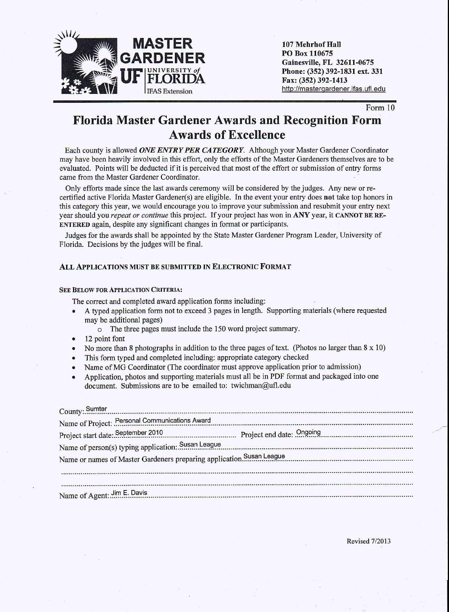

107 Mehrhof Hall PO Box 110675 Gainesville, FL 32611-0675 Phone: (352) 392-1831 ext. 331 Fax: (352) 392-1413 http://mastergardener. ifas.ufl.edu

Form 10

## Florida Master Gardener Awards and Recognition Form Awards of Excellence

Each county is allowed *ONE ENTRY PER CATEGORY.* Although your Master Gardener Coordinator may have been heavily involved in this effort, only the efforts of the Master Gardeners themselves are to be evaluated. Points will be deducted if it is perceived that most of the effort or submission of entry forms came from the Master Gardener Coordinator.

Only efforts made since the last awards ceremony will be considered by the judges. Any new or recertified active Florida Master Gardener(s) are eligible. In the event your entry does not take top honors in this category this year, we would encourage you to improve your submission and resubmit your entry next year should you *repeat or continue* this project. If your project has won in ANY year, it CANNOTBE RE-ENTERED again, despite any significant changes in format or participants.

Judges for the awards shall be appointed by the State Master Gardener Program Leader, University of Florida. Decisions by the judges will be final.

### ALL APPLICATIONS MUST BE SUBMITTED IN ELECTRONIC FORMAT

#### SEE BELOW FOR APPLICATION CRITERIA:

The correct and completed award application forms including:

- A typed application form not to exceed 3 pages in length. Supporting materials (where requested may be additional pages)
	- o The three pages must include the 150 word project summary.
- 12 point font
- No more than 8 photographs in addition to the three pages of text. (Photos no larger than 8 x 10)
- This form typed and completed including: appropriate category checked
- Name of MG Coordinator (The coordinator must approve application prior to admission)
- Application, photos and supporting materials must all be in PDF format and packaged into one document. Submissions are to be emailed to: [twichman@ufl.edu](mailto:twichman@ufl.edu)

|                             | County: Sumter<br>County: Sumter<br>County: Sumter<br>County: Sumter<br>County: Sumter<br>County: Sumter<br>County: Sumter<br>County: Sumter<br>County: Sumter<br>County: Sumter<br>County: Sumter<br>County: Sumter<br>County: Sumter<br>County: Sumter |  |
|-----------------------------|----------------------------------------------------------------------------------------------------------------------------------------------------------------------------------------------------------------------------------------------------------|--|
|                             | Name of Project: Personal Communications Award                                                                                                                                                                                                           |  |
|                             |                                                                                                                                                                                                                                                          |  |
|                             | Name of person(s) typing application: Susan League Manuscrittism and the control of person(s) typing application: Susan League                                                                                                                           |  |
|                             | Name or names of Master Gardeners preparing application. <sup>Susan</sup> League                                                                                                                                                                         |  |
|                             |                                                                                                                                                                                                                                                          |  |
|                             |                                                                                                                                                                                                                                                          |  |
| Name of Agent: Jim E. Davis |                                                                                                                                                                                                                                                          |  |

Revised *7/2013*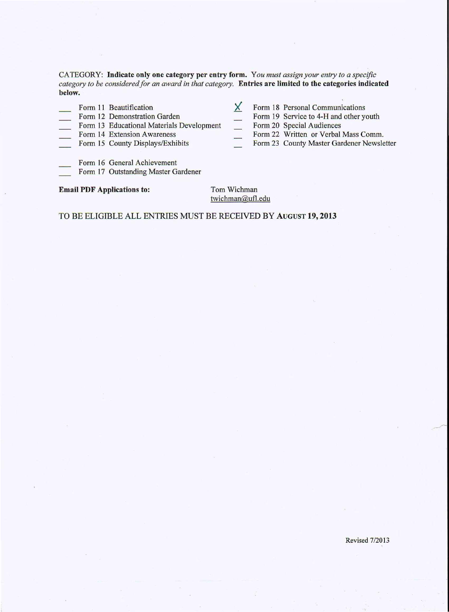CATEGORY: Indicate only one category per entry form. *You must assign your entry to a specific category to be considered for an award in that category.* Entries are limited to tbe categories indicated below.

- Form 11 Beautification
- Form 12 Demonstration Garden
- >( Form 18 Personal Communications
	- Form 19 Service to 4-H and other youth
- Form 13 Educational Materials Development
- Form 14 Extension Awareness
- Form 15 County Displays/Exhibits
- Form 20 Special Audiences Form 22 Written or Verbal Mass Comm.
- Form 23 County Master Gardener Newsletter
- Form 16 General Achievement
- Form 17 Outstanding Master Gardener

### Email PDF Applications to: Tom Wichman

[twichman@ufl.edu](mailto:twichman@ufl.edu)

### TO BE ELIGIBLE ALL ENTRIES MUST BE RECEIVED BY AUGUST 19, 2013

Revised 7/2013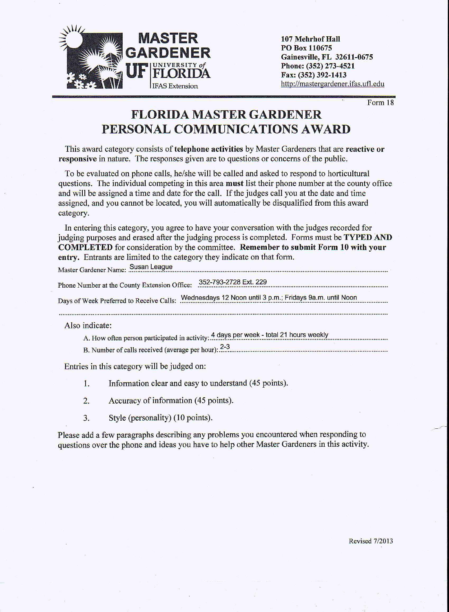

107 Mehrhof Hall PO Box 110675 Gainesville, FL 32611-0675 Phone: (352) 273-4521 Fax: (352) 392-1413 http://mastergardener.ifas.ufl.edu

Form 18

# **FLORIDA MASTER GARDENER PERSONAL COMMUNICATIONS AWARD**

This award category consists of telephone activities by Master Gardeners that are reactive or responsive in nature. The responses given are to questions or concerns of the public.

To be evaluated on phone calls, he/she will be called and asked to respond to horticultural questions. The individual competing in this area **must** list their phone number at the county office and will be assigned a time and date for the call. If the judges call you at the date and time assigned, and you cannot be located, you will automatically be disqualified from this award category.

In entering this category, you agree to have your conversation with the judges recorded for judging purposes and erased after the judging process is completed. Forms must be **TYPED AND** COMPLETED for consideration by the committee. Remember to submit Form 10 with your entry. Entrants are limited to the category they indicate on that form.

Master Gardener Name: Susan League

Phone Number at the County Extension Office: .~~~~!~.~.~?!.~~.~~.~:.??? .

Days of Week Preferred to Receive Calls: Wednesdays 12 Noon until 3 p.m.; Fridays 9a.m. until Noon 

Also indicate:

A. How often person participated in activity: 4 days per week - total 21 hours weekly

B. Number of calls received (average per hour): .?:~ ..

Entries in this category will be judged on:

- 1. Information clear and easy to understand (45 points).
- 2. Accuracy of information (45 points).
- 3. Style (personality) (10 points).

Please add a few paragraphs describing any problems you encountered when responding to questions over the phone and ideas you have to help other Master Gardeners in this activity.

Revised *7/20* l3